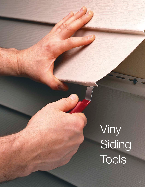# Vinyl **Siding** Tools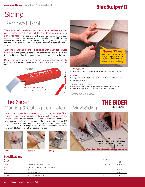### SideSwiper®II

# **Siding** Removal Tool

The SideSwiper® II combines the comfort and added leverage of an easy-to-grasp straight handle with the smooth unlocking motion of a burr free hook. The blade of the SRT2 is angled from the bottom plane of the handle and allows the user to keep the wrist straight while keeping knuckles well above the work. Blade surface finishing and plating assures that the sharply angled hook will not cut into the vinyl material or produce shavings.

Additional comfort and control is achieved with a non-slip textured handle grip. The gripping surface will not become slick from moisture, and the form fitting, plastisol dip process bonds the grip for the life of the tool.

Durable one piece spring steel construction is virtually indestructible. A handy oversize hang hole in handle accommodates a 1/4" (6.4 mm) peg hook.





#### *1. INSERTION:* Wedge tip of blade under overlapping panel and hook onto the back lip of buttlock.

*2. UNLOCKING:*  Pulling lip downward, slide the tool along length of panel to unlock and expose nail row of panel to be removed.

#### *3. PANEL REPLACEMENT:*

Lock and nail replacement panel into place. Use tool to relock overlapping panel. Pull down on panel lip and press it into lock of replacement panel below.

#### Cross Section View

## The Sider Marking & Cutting Templates for Vinyl Siding

THE SIDER U.S. Patent No. 5,203,090

Save up to 3 profitable hours on each job with the innovative Sider. It works quickly and accurately, replacing chalk lines, squares and straight edges. Use it as a scribe or square to mark or score precise lines. Or go straight to cutting with your utility knife in the precisely marked 1/8" (3.2 mm) holes. The Sider comes in 3 sizes to match popular siding profiles and features durable 18-gauge (1.22 mm) stainless steel construction. It's one smart little tool for even the biggest siding jobs.





*Scribe it Square it Cut it!*





#### **Specifications**

| Catalog            |                                             | Tool Length.             | Net Wt.   |
|--------------------|---------------------------------------------|--------------------------|-----------|
| Number             | Description                                 | in. (mm.)                | $oz.$ (g) |
| SRT <sub>2</sub>   | SideSwiper II Siding Removal Tool           | 6-1/4 (159)              | 3.0(85)   |
| SRT <sub>2</sub> B | SideSwiper II Siding Removal Tool Bulk (25) | -                        |           |
| <b>SD40</b>        | The Sider Double 4                          |                          | 7.0 (199) |
| <b>SD50</b>        | The Sider Double 5                          | $\overline{\phantom{0}}$ | 8.0 (227) |
| SDL45              | The Sider Dutchlap 4-1/2                    |                          | 7.0 (199) |
|                    |                                             |                          |           |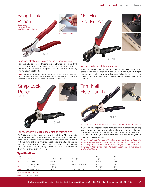

#### Snap lock plastic skirting and siding to finishing trim.

Makes tabs in the cut edge of siding panel used as a finishing course at top of wall or below window. Tabs lock into utility trim.\* Punch raises a high projection to compensate for natural relaxation of vinyl plastic. It also works well on aluminum siding but is not recommended for steel.

*\*NOTE: The SL5 should not be used when PERMATABS are required to snap into finished trim. For this application we recommend using the Malco SL1 or SL2 Snap Lock Punch. PERMATABS is a trademark of C & H Enterprises. Not Recommended for use below 32° F (0° C).*



#### For securing vinyl skirting and siding to finishing trim.

The SL8R produces wider, more secure locking tab projections. Tabs grip a greater surface area and guard against dislodging due to relaxation of vinyl from heat. SL8R installations also resist blowout during times of high pressure and wind. Constructed of steel stampings and rugged investment cast alloy steel jaws, with nickel plate and black oxide finishes. Ergonomic Redline Handles with unique one-hand operation latch offer maximum compound leverage performance and natural fit and feel. Not Recommended for use below 32° F (0° C).



#### Add accurate nail slots fast and easy!

The NHP1R punches a generous 5/32" x 3/4" (4.0 to 19.1 mm) horizontal slot for adding or elongating nail holes in vinyl and .019" (0.48 mm) aluminum siding to accommodate irregular stud spacing. Ergonomic Redline Handles with unique one-hand operation latch offer maximum compound leverage performance and natural fit and feel.



#### Easy access for holes where you need them in Sofit and Fascia

A 1/4" x 1/8" (6x3 mm) slot is absolutely no bigger than what you need for supporting vinyl or aluminum soffit and fascia without risking buckling of material from temperature changes. And a narrow profile head, extra wide opening jaws and a big 2" (51 mm) throat assures that you can make trim nail hole slots exactly where you need them, - not where you see them.

*The TNHP punch easily fits inside soffit contours or over the lip edge of fascia. The result is a clean professional installation that is as easy to look at as the tool is to use. Built for long service it features Malco's signature compound leverage handles and comfortable vinyl grips and hand stops. Not recommended for use with some styles of stainless steel trim nails.* -------------------------------------

#### **Specifications**

| Catalog         |                                   |                       |                                       | Length          | Net Wt.   |  |
|-----------------|-----------------------------------|-----------------------|---------------------------------------|-----------------|-----------|--|
| Number          | Description                       | Throat Depth in. (mm) | Slot in. (mm)                         | in. $(mm)$      | $oz.$ (g) |  |
| SL <sub>5</sub> | Snap Lock Punch                   | 3/8(9.5)              | —                                     | 9(229)          | 12 (340)  |  |
| NHP1R           | Nail Hole Slot Punch              | 5/8(15.9)             | $5/32 \times 3/4$ (4.0 $\times$ 19.1) | $8 - 1/2$ (216) | 16 (454)  |  |
| SL8R            | Snap Lock Punch                   | 1/2(12.7)             |                                       | $8-1/2(216)$    | 16 (454)  |  |
| <b>TNHP</b>     | Trim Nail Hole Punch              | 2(50.8)               | $1/4 \times 1/8$ (6.4 $\times$ 3.2)   | 10 (254)        | 18 (510)  |  |
|                 | Replacement Spring for Hand Tools |                       |                                       |                 |           |  |
| 5018            | Fits NHP1R, SL8R                  |                       |                                       |                 |           |  |